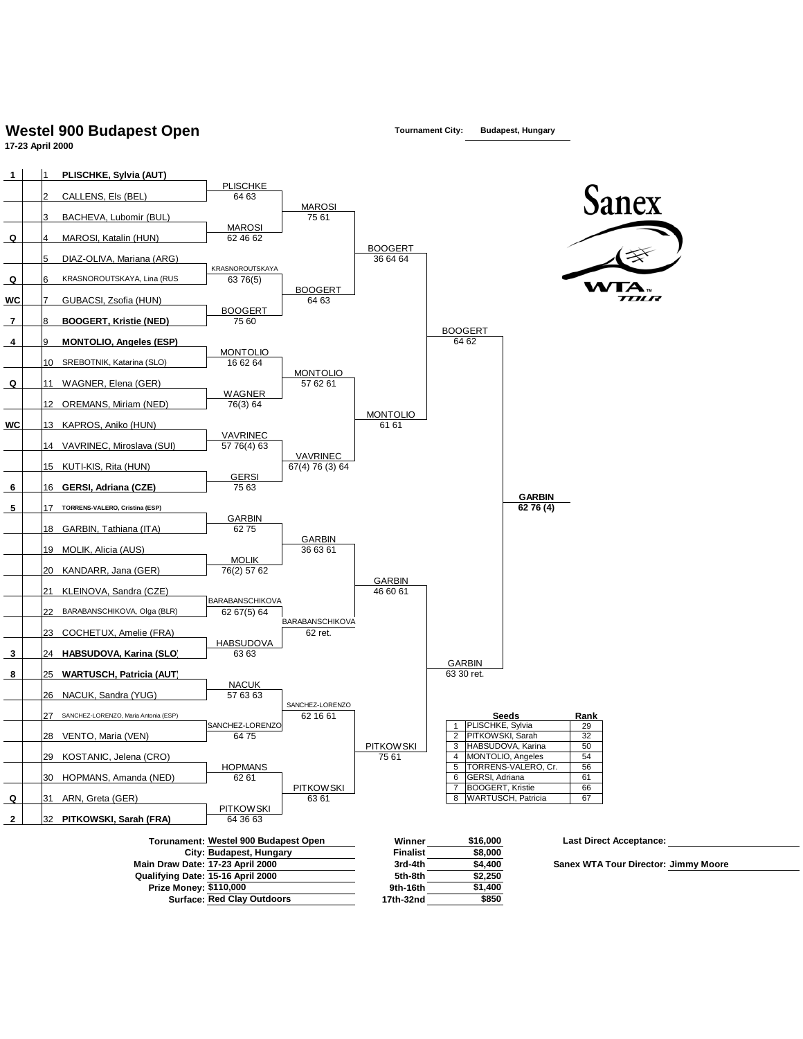## **Westel 900 Budapest Open Tournament City: Budapest, Hungary**

**17-23 April 2000**